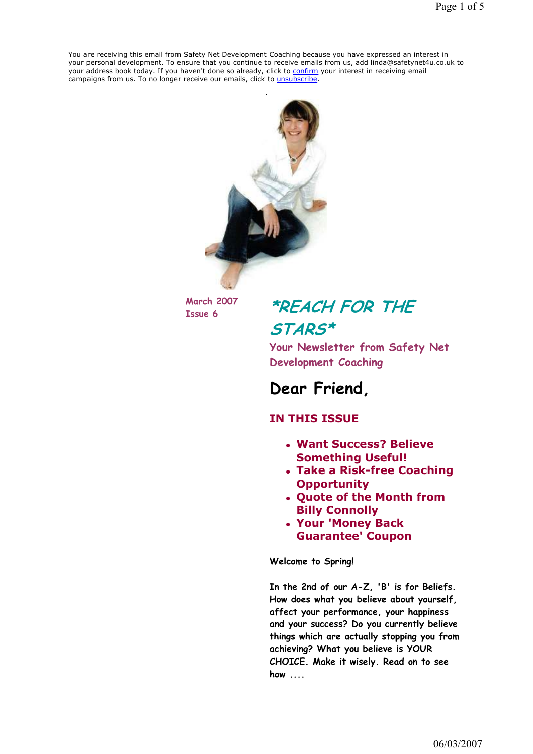You are receiving this email from Safety Net Development Coaching because you have expressed an interest in your personal development. To ensure that you continue to receive emails from us, add linda@safetynet4u.co.uk to your address book today. If you haven't done so already, click to confirm your interest in receiving email campaigns from us. To no longer receive our emails, click to *unsubscribe*.



March 2007

## $N<sub>arch</sub>$  2007 \*REACH FOR THE STARS\*

Your Newsletter from Safety Net Development Coaching

## Dear Friend,

#### IN THIS ISSUE

- Want Success? Believe Something Useful!
- Take a Risk-free Coaching **Opportunity**
- Quote of the Month from Billy Connolly
- Your 'Money Back Guarantee' Coupon

Welcome to Spring!

In the 2nd of our A-Z, 'B' is for Beliefs. How does what you believe about yourself, affect your performance, your happiness and your success? Do you currently believe things which are actually stopping you from achieving? What you believe is YOUR CHOICE. Make it wisely. Read on to see how ....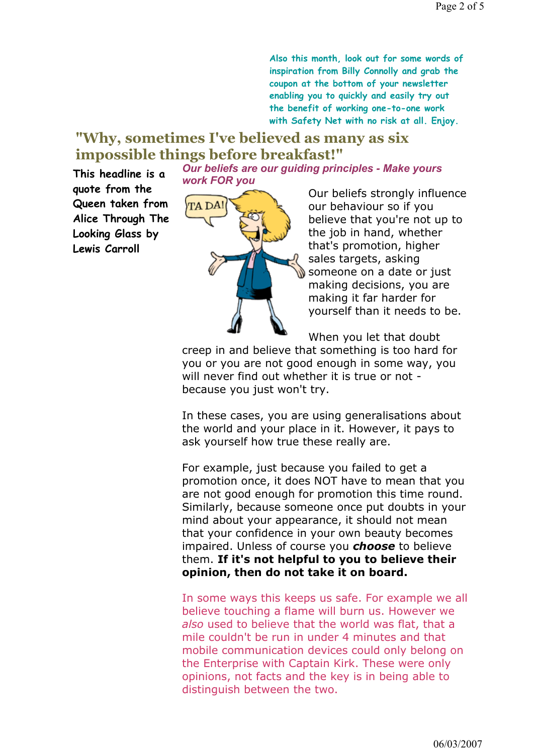Also this month, look out for some words of inspiration from Billy Connolly and grab the coupon at the bottom of your newsletter enabling you to quickly and easily try out the benefit of working one-to-one work with Safety Net with no risk at all. Enjoy.

#### "Why, sometimes I've believed as many as six impossible things before breakfast!" Our beliefs are our guiding principles - Make yours

This headline is a quote from the Queen taken from Alice Through The Looking Glass by Lewis Carroll



Our beliefs strongly influence our behaviour so if you believe that you're not up to the job in hand, whether that's promotion, higher sales targets, asking someone on a date or just making decisions, you are making it far harder for yourself than it needs to be.

When you let that doubt

creep in and believe that something is too hard for you or you are not good enough in some way, you will never find out whether it is true or not because you just won't try.

In these cases, you are using generalisations about the world and your place in it. However, it pays to ask yourself how true these really are.

For example, just because you failed to get a promotion once, it does NOT have to mean that you are not good enough for promotion this time round. Similarly, because someone once put doubts in your mind about your appearance, it should not mean that your confidence in your own beauty becomes impaired. Unless of course you **choose** to believe them. If it's not helpful to you to believe their opinion, then do not take it on board.

In some ways this keeps us safe. For example we all believe touching a flame will burn us. However we also used to believe that the world was flat, that a mile couldn't be run in under 4 minutes and that mobile communication devices could only belong on the Enterprise with Captain Kirk. These were only opinions, not facts and the key is in being able to distinguish between the two.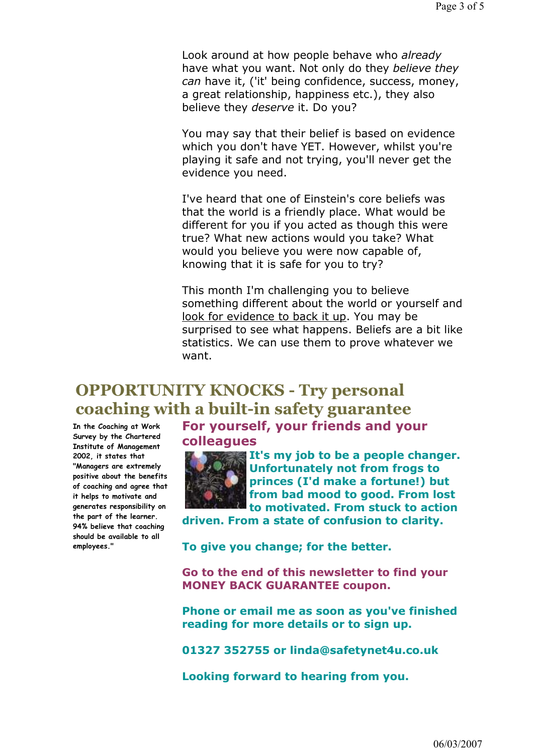Look around at how people behave who already have what you want. Not only do they believe they can have it, ('it' being confidence, success, money, a great relationship, happiness etc.), they also believe they deserve it. Do you?

You may say that their belief is based on evidence which you don't have YET. However, whilst you're playing it safe and not trying, you'll never get the evidence you need.

I've heard that one of Einstein's core beliefs was that the world is a friendly place. What would be different for you if you acted as though this were true? What new actions would you take? What would you believe you were now capable of, knowing that it is safe for you to try?

This month I'm challenging you to believe something different about the world or yourself and look for evidence to back it up. You may be surprised to see what happens. Beliefs are a bit like statistics. We can use them to prove whatever we want.

### OPPORTUNITY KNOCKS - Try personal coaching with a built-in safety guarantee For yourself, your friends and your

In the Coaching at Work Survey by the Chartered Institute of Management 2002, it states that "Managers are extremely positive about the benefits of coaching and agree that it helps to motivate and generates responsibility on the part of the learner. 94% believe that coaching should be available to all employees."

colleagues



It's my job to be a people changer. Unfortunately not from frogs to princes (I'd make a fortune!) but from bad mood to good. From lost to motivated. From stuck to action

driven. From a state of confusion to clarity.

To give you change; for the better.

Go to the end of this newsletter to find your MONEY BACK GUARANTEE coupon.

Phone or email me as soon as you've finished reading for more details or to sign up.

01327 352755 or linda@safetynet4u.co.uk

Looking forward to hearing from you.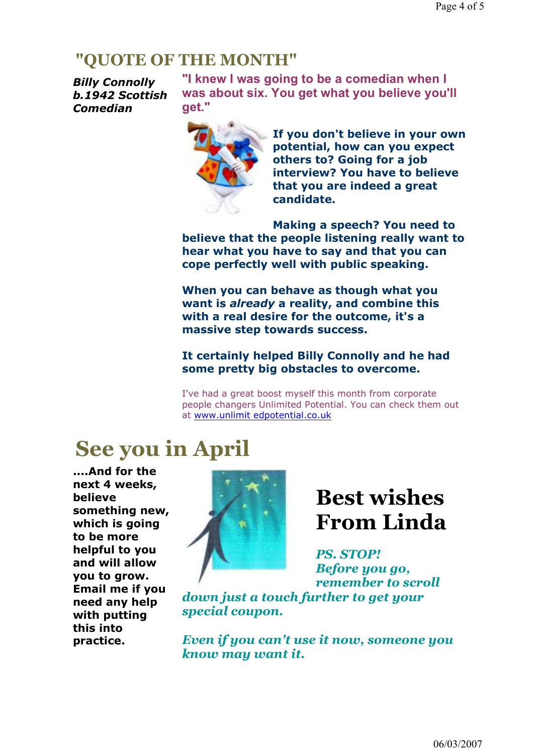### "QUOTE OF THE MONTH"

Billy Connolly b.1942 Scottish Comedian

"I knew I was going to be a comedian when I was about six. You get what you believe you'll get."



If you don't believe in your own potential, how can you expect others to? Going for a job interview? You have to believe that you are indeed a great candidate.

Making a speech? You need to believe that the people listening really want to hear what you have to say and that you can cope perfectly well with public speaking.

When you can behave as though what you want is *already* a reality, and combine this with a real desire for the outcome, it's a massive step towards success.

#### It certainly helped Billy Connolly and he had some pretty big obstacles to overcome.

I've had a great boost myself this month from corporate people changers Unlimited Potential. You can check them out at www.unlimit edpotential.co.uk

## See you in April

....And for the next 4 weeks, believe something new, which is going to be more helpful to you and will allow you to grow. Email me if you need any help with putting this into practice.



# Best wishes From Linda

PS. STOP! Before you go, remember to scroll

down just a touch further to get your special coupon.

Even if you can't use it now, someone you know may want it.